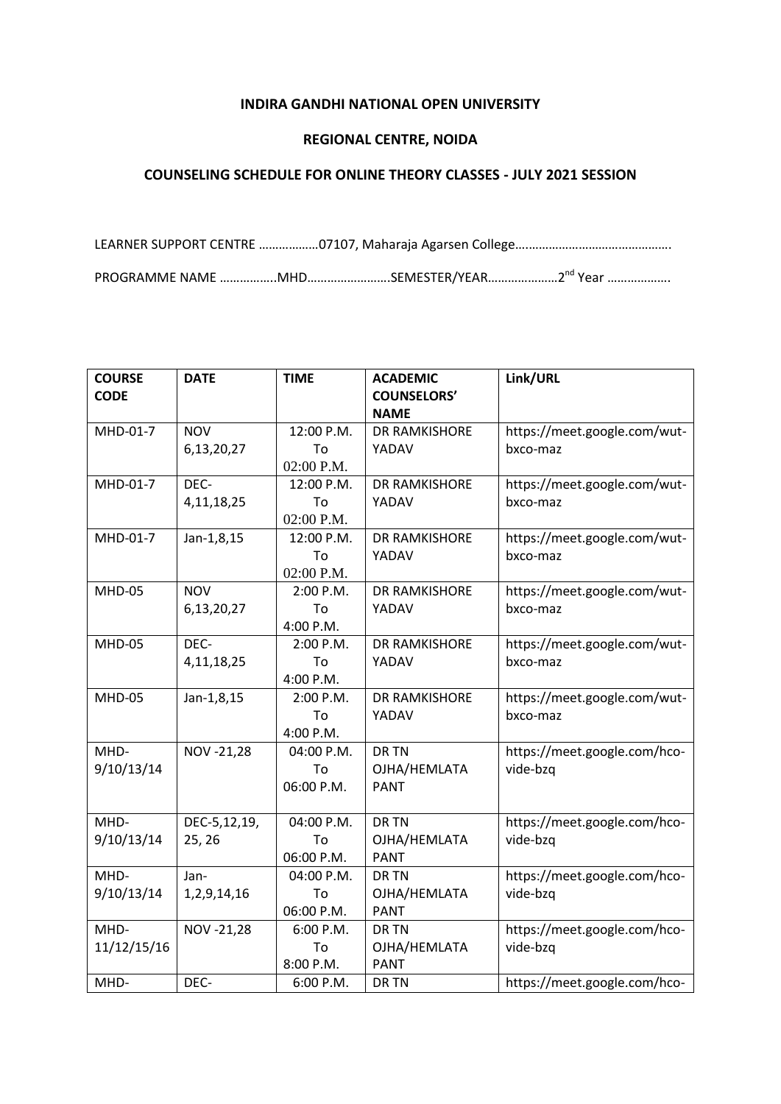#### **INDIRA GANDHI NATIONAL OPEN UNIVERSITY**

### **REGIONAL CENTRE, NOIDA**

#### **COUNSELING SCHEDULE FOR ONLINE THEORY CLASSES - JULY 2021 SESSION**

LEARNER SUPPORT CENTRE ………………07107, Maharaja Agarsen College….……………………………………. PROGRAMME NAME ………………MHD……………………SEMESTER/YEAR…………………2<sup>nd</sup> Year …………………

| <b>COURSE</b> | <b>DATE</b>   | <b>TIME</b> | <b>ACADEMIC</b>      | Link/URL                     |
|---------------|---------------|-------------|----------------------|------------------------------|
| <b>CODE</b>   |               |             | <b>COUNSELORS'</b>   |                              |
|               |               |             | <b>NAME</b>          |                              |
| MHD-01-7      | <b>NOV</b>    | 12:00 P.M.  | <b>DR RAMKISHORE</b> | https://meet.google.com/wut- |
|               | 6,13,20,27    | To          | YADAV                | bxco-maz                     |
|               |               | 02:00 P.M.  |                      |                              |
| MHD-01-7      | DEC-          | 12:00 P.M.  | <b>DR RAMKISHORE</b> | https://meet.google.com/wut- |
|               | 4, 11, 18, 25 | To          | YADAV                | bxco-maz                     |
|               |               | 02:00 P.M.  |                      |                              |
| MHD-01-7      | Jan-1,8,15    | 12:00 P.M.  | <b>DR RAMKISHORE</b> | https://meet.google.com/wut- |
|               |               | To          | YADAV                | bxco-maz                     |
|               |               | 02:00 P.M.  |                      |                              |
| <b>MHD-05</b> | <b>NOV</b>    | 2:00 P.M.   | <b>DR RAMKISHORE</b> | https://meet.google.com/wut- |
|               | 6,13,20,27    | To          | YADAV                | bxco-maz                     |
|               |               | 4:00 P.M.   |                      |                              |
| MHD-05        | DEC-          | 2:00 P.M.   | DR RAMKISHORE        | https://meet.google.com/wut- |
|               | 4, 11, 18, 25 | To          | YADAV                | bxco-maz                     |
|               |               | 4:00 P.M.   |                      |                              |
| <b>MHD-05</b> | Jan-1,8,15    | 2:00 P.M.   | DR RAMKISHORE        | https://meet.google.com/wut- |
|               |               | To          | YADAV                | bxco-maz                     |
|               |               | 4:00 P.M.   |                      |                              |
| MHD-          | NOV -21,28    | 04:00 P.M.  | DR TN                | https://meet.google.com/hco- |
| 9/10/13/14    |               | To          | OJHA/HEMLATA         | vide-bzq                     |
|               |               | 06:00 P.M.  | <b>PANT</b>          |                              |
|               |               |             |                      |                              |
| MHD-          | DEC-5,12,19,  | 04:00 P.M.  | DR TN                | https://meet.google.com/hco- |
| 9/10/13/14    | 25, 26        | To          | OJHA/HEMLATA         | vide-bza                     |
|               |               | 06:00 P.M.  | <b>PANT</b>          |                              |
| MHD-          | Jan-          | 04:00 P.M.  | DR TN                | https://meet.google.com/hco- |
| 9/10/13/14    | 1,2,9,14,16   | To          | OJHA/HEMLATA         | vide-bzq                     |
|               |               | 06:00 P.M.  | <b>PANT</b>          |                              |
| MHD-          | NOV -21,28    | 6:00 P.M.   | DR TN                | https://meet.google.com/hco- |
| 11/12/15/16   |               | To          | OJHA/HEMLATA         | vide-bza                     |
|               |               | 8:00 P.M.   | <b>PANT</b>          |                              |
| MHD-          | DEC-          | 6:00 P.M.   | DR TN                | https://meet.google.com/hco- |